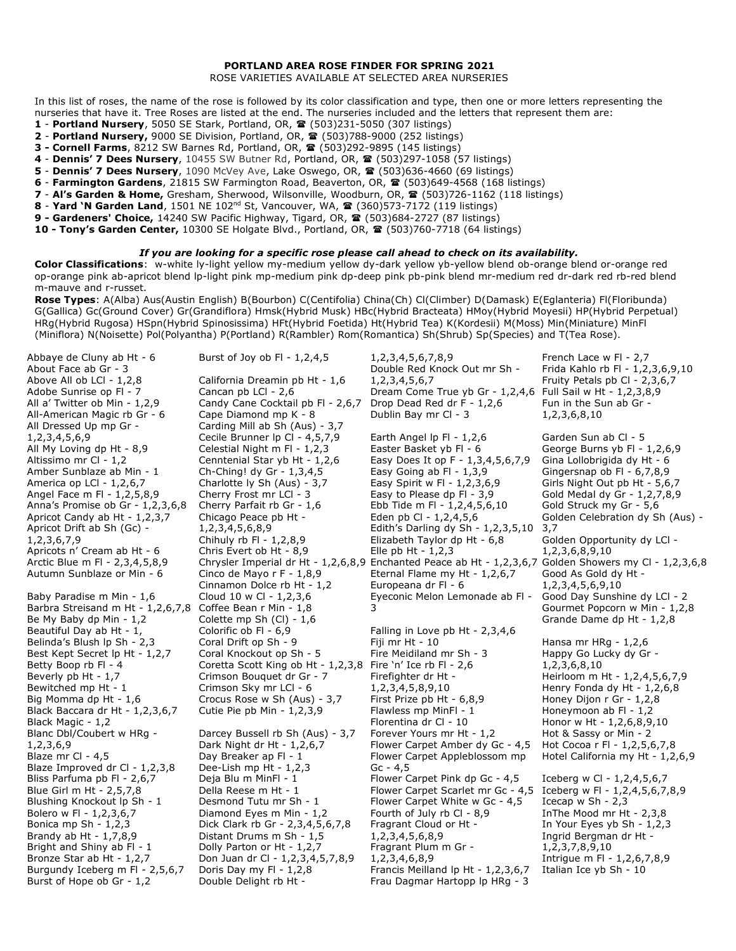## **PORTLAND AREA ROSE FINDER FOR SPRING 2021**

ROSE VARIETIES AVAILABLE AT SELECTED AREA NURSERIES

In this list of roses, the name of the rose is followed by its color classification and type, then one or more letters representing the nurseries that have it. Tree Roses are listed at the end. The nurseries included and the letters that represent them are:

- **1 Portland Nursery**, 5050 SE Stark, Portland, OR, **雪** (503)231-5050 (307 listings)
- **2 Portland Nursery,** 9000 SE Division, Portland, OR, **雪** (503)788-9000 (252 listings)
- **3 Cornell Farms**, 8212 SW Barnes Rd, Portland, OR, <sup>2</sup> (503)292-9895 (145 listings)
- **4 Dennis' 7 Dees Nursery**, 10455 SW Butner Rd, Portland, OR, (503)297-1058 (57 listings)
- **5 Dennis' 7 Dees Nursery**, 1090 McVey Ave, Lake Oswego, OR, **雪** (503)636-4660 (69 listings)
- 6 Farmington Gardens, 21815 SW Farmington Road, Beaverton, OR, <sup>2</sup> (503)649-4568 (168 listings)
- **7** Al's Garden & Home, Gresham, Sherwood, Wilsonville, Woodburn, OR, <sup>2</sup> (503)726-1162 (118 listings)
- **8 Yard 'N Garden Land**, 1501 NE 102 nd St, Vancouver, WA, (360)573-7172 (119 listings)
- **9 - Gardeners' Choice,** 14240 SW Pacific Highway, Tigard, OR, (503)684-2727 (87 listings)
- 10 Tony's Garden Center, 10300 SE Holgate Blvd., Portland, OR, <sup>2</sup> (503)760-7718 (64 listings)

## *If you are looking for a specific rose please call ahead to check on its availability.*

**Color Classifications**: w-white ly-light yellow my-medium yellow dy-dark yellow yb-yellow blend ob-orange blend or-orange red op-orange pink ab-apricot blend lp-light pink mp-medium pink dp-deep pink pb-pink blend mr-medium red dr-dark red rb-red blend m-mauve and r-russet.

**Rose Types**: A(Alba) Aus(Austin English) B(Bourbon) C(Centifolia) China(Ch) Cl(Climber) D(Damask) E(Eglanteria) Fl(Floribunda) G(Gallica) Gc(Ground Cover) Gr(Grandiflora) Hmsk(Hybrid Musk) HBc(Hybrid Bracteata) HMoy(Hybrid Moyesii) HP(Hybrid Perpetual) HRg(Hybrid Rugosa) HSpn(Hybrid Spinosissima) HFt(Hybrid Foetida) Ht(Hybrid Tea) K(Kordesii) M(Moss) Min(Miniature) MinFl (Miniflora) N(Noisette) Pol(Polyantha) P(Portland) R(Rambler) Rom(Romantica) Sh(Shrub) Sp(Species) and T(Tea Rose).

| Abbaye de Cluny ab Ht - 6         | Burst of Joy ob FI - $1,2,4,5$     | 1, 2, 3, 4, 5, 6, 7, 8, 9                                                                              | French Lace w FI - 2,7           |
|-----------------------------------|------------------------------------|--------------------------------------------------------------------------------------------------------|----------------------------------|
| About Face ab Gr - 3              |                                    | Double Red Knock Out mr Sh -                                                                           | Frida Kahlo rb Fl - 1,2,3,6,9,10 |
| Above All ob LCI - 1,2,8          | California Dreamin pb Ht - 1,6     | 1, 2, 3, 4, 5, 6, 7                                                                                    | Fruity Petals pb Cl - 2,3,6,7    |
| Adobe Sunrise op FI - 7           | Cancan pb LCl - 2,6                | Dream Come True yb Gr - 1,2,4,6 Full Sail w Ht - 1,2,3,8,9                                             |                                  |
| All a' Twitter ob Min - 1,2,9     | Candy Cane Cocktail pb FI - 2,6,7  | Drop Dead Red dr F - 1,2,6                                                                             | Fun in the Sun ab Gr -           |
| All-American Magic rb Gr - 6      | Cape Diamond mp K - 8              | Dublin Bay mr Cl - 3                                                                                   | 1,2,3,6,8,10                     |
| All Dressed Up mp Gr -            | Carding Mill ab Sh (Aus) - 3,7     |                                                                                                        |                                  |
| 1, 2, 3, 4, 5, 6, 9               | Cecile Brunner Ip CI - 4,5,7,9     | Earth Angel Ip FI - $1,2,6$                                                                            | Garden Sun ab Cl - 5             |
| All My Loving dp Ht - 8,9         | Celestial Night m Fl - 1,2,3       | Easter Basket yb Fl - 6                                                                                | George Burns yb Fl - 1,2,6,9     |
| Altissimo mr Cl - 1,2             | Cenntenial Star yb Ht - 1,2,6      | Easy Does It op F - 1,3,4,5,6,7,9                                                                      | Gina Lollobrigida dy Ht - 6      |
| Amber Sunblaze ab Min - 1         | Ch-Ching! dy Gr - 1,3,4,5          | Easy Going ab $Fl - 1,3,9$                                                                             | Gingersnap ob $Fl - 6,7,8,9$     |
| America op LCI - 1,2,6,7          | Charlotte ly Sh (Aus) - 3,7        | Easy Spirit w FI - 1,2,3,6,9                                                                           | Girls Night Out pb Ht - 5,6,7    |
| Angel Face m FI - 1,2,5,8,9       | Cherry Frost mr LCI - 3            | Easy to Please dp FI - 3,9                                                                             | Gold Medal dy Gr - 1,2,7,8,9     |
| Anna's Promise ob Gr - 1,2,3,6,8  | Cherry Parfait rb Gr - 1,6         | Ebb Tide m Fl - 1,2,4,5,6,10                                                                           | Gold Struck my Gr - 5,6          |
| Apricot Candy ab Ht - 1,2,3,7     | Chicago Peace pb Ht -              | Eden pb Cl - 1,2,4,5,6                                                                                 | Golden Celebration dy Sh (Aus) - |
| Apricot Drift ab Sh (Gc) -        | 1,2,3,4,5,6,8,9                    | Edith's Darling dy Sh - 1,2,3,5,10                                                                     | 3,7                              |
| 1, 2, 3, 6, 7, 9                  | Chihuly rb Fl - 1,2,8,9            | Elizabeth Taylor dp Ht - 6,8                                                                           | Golden Opportunity dy LCI -      |
| Apricots n' Cream ab Ht - 6       | Chris Evert ob Ht - 8,9            | Elle pb $Ht - 1,2,3$                                                                                   | 1, 2, 3, 6, 8, 9, 10             |
| Arctic Blue m Fl - 2,3,4,5,8,9    |                                    | Chrysler Imperial dr Ht - 1,2,6,8,9 Enchanted Peace ab Ht - 1,2,3,6,7 Golden Showers my Cl - 1,2,3,6,8 |                                  |
| Autumn Sunblaze or Min - 6        | Cinco de Mayo r F - 1,8,9          | Eternal Flame my Ht - 1,2,6,7                                                                          | Good As Gold dy Ht -             |
|                                   | Cinnamon Dolce rb Ht - 1,2         | Europeana dr Fl - 6                                                                                    | 1, 2, 3, 4, 5, 6, 9, 10          |
| Baby Paradise m Min - 1,6         | Cloud 10 w Cl - 1,2,3,6            | Eyeconic Melon Lemonade ab FI -                                                                        | Good Day Sunshine dy LCI - 2     |
| Barbra Streisand m Ht - 1,2,6,7,8 | Coffee Bean r Min - 1,8            | 3                                                                                                      | Gourmet Popcorn w Min - 1,2,8    |
| Be My Baby dp Min - 1,2           | Colette mp Sh (Cl) - 1,6           |                                                                                                        | Grande Dame dp Ht - 1,2,8        |
| Beautiful Day ab Ht - 1,          | Colorific ob FI - 6,9              | Falling in Love pb Ht - 2,3,4,6                                                                        |                                  |
| Belinda's Blush Ip Sh - 2,3       | Coral Drift op Sh - 9              | Fiji mr Ht - 10                                                                                        | Hansa mr $HRq - 1,2,6$           |
| Best Kept Secret lp Ht - 1,2,7    | Coral Knockout op Sh - 5           | Fire Meidiland mr Sh - 3                                                                               | Happy Go Lucky dy Gr -           |
| Betty Boop rb Fl - 4              | Coretta Scott King ob Ht - 1,2,3,8 | Fire 'n' Ice rb Fl - $2,6$                                                                             | 1,2,3,6,8,10                     |
| Beverly pb Ht - 1,7               | Crimson Bouquet dr Gr - 7          | Firefighter dr Ht -                                                                                    | Heirloom m Ht - 1,2,4,5,6,7,9    |
| Bewitched mp Ht - 1               | Crimson Sky mr LCI - 6             | 1, 2, 3, 4, 5, 8, 9, 10                                                                                | Henry Fonda dy Ht - 1,2,6,8      |
| Big Momma dp Ht - 1,6             | Crocus Rose w Sh (Aus) - 3,7       | First Prize pb Ht - 6,8,9                                                                              | Honey Dijon r Gr - 1,2,8         |
| Black Baccara dr Ht - 1,2,3,6,7   | Cutie Pie pb Min - 1,2,3,9         | Flawless mp MinFl - 1                                                                                  | Honeymoon ab FI - 1,2            |
| Black Magic - 1,2                 |                                    | Florentina dr Cl - 10                                                                                  | Honor w Ht - 1,2,6,8,9,10        |
| Blanc Dbl/Coubert w HRg -         | Darcey Bussell rb Sh (Aus) - 3,7   | Forever Yours mr Ht - 1,2                                                                              | Hot & Sassy or Min - 2           |
| 1,2,3,6,9                         | Dark Night dr Ht - 1,2,6,7         | Flower Carpet Amber dy Gc - 4,5                                                                        | Hot Cocoa r Fl - 1,2,5,6,7,8     |
| Blaze mr Cl - 4,5                 | Day Breaker ap FI - 1              | Flower Carpet Appleblossom mp                                                                          | Hotel California my Ht - 1,2,6,9 |
| Blaze Improved dr Cl - 1,2,3,8    | Dee-Lish mp Ht - 1,2,3             | $Gc - 4,5$                                                                                             |                                  |
| Bliss Parfuma pb Fl - 2,6,7       | Deja Blu m MinFl - 1               | Flower Carpet Pink dp Gc - 4,5                                                                         | Iceberg w Cl - 1,2,4,5,6,7       |
| Blue Girl m Ht - 2,5,7,8          | Della Reese m Ht - 1               | Flower Carpet Scarlet mr Gc - 4,5 Iceberg w Fl - 1,2,4,5,6,7,8,9                                       |                                  |
| Blushing Knockout Ip Sh - 1       | Desmond Tutu mr Sh - 1             | Flower Carpet White w Gc - 4,5                                                                         | Icecap $w$ Sh - 2,3              |
| Bolero w Fl - 1,2,3,6,7           | Diamond Eyes m Min - 1,2           | Fourth of July rb Cl - 8,9                                                                             | In The Mood mr Ht - 2,3,8        |
| Bonica mp Sh - 1,2,3              | Dick Clark rb Gr - 2,3,4,5,6,7,8   | Fragrant Cloud or Ht -                                                                                 | In Your Eyes yb Sh - 1,2,3       |
| Brandy ab Ht - 1,7,8,9            | Distant Drums m Sh - 1,5           | 1, 2, 3, 4, 5, 6, 8, 9                                                                                 | Ingrid Bergman dr Ht -           |
| Bright and Shiny ab Fl - 1        | Dolly Parton or Ht - 1,2,7         | Fragrant Plum m Gr -                                                                                   | 1, 2, 3, 7, 8, 9, 10             |
| Bronze Star ab Ht - 1,2,7         | Don Juan dr Cl - 1,2,3,4,5,7,8,9   | 1,2,3,4,6,8,9                                                                                          | Intrigue m Fl - 1,2,6,7,8,9      |
| Burgundy Iceberg m FI - 2,5,6,7   | Doris Day my FI - 1,2,8            | Francis Meilland lp Ht - 1,2,3,6,7                                                                     | Italian Ice yb Sh - 10           |
| Burst of Hope ob Gr - 1,2         | Double Delight rb Ht -             | Frau Dagmar Hartopp Ip HRg - 3                                                                         |                                  |
|                                   |                                    |                                                                                                        |                                  |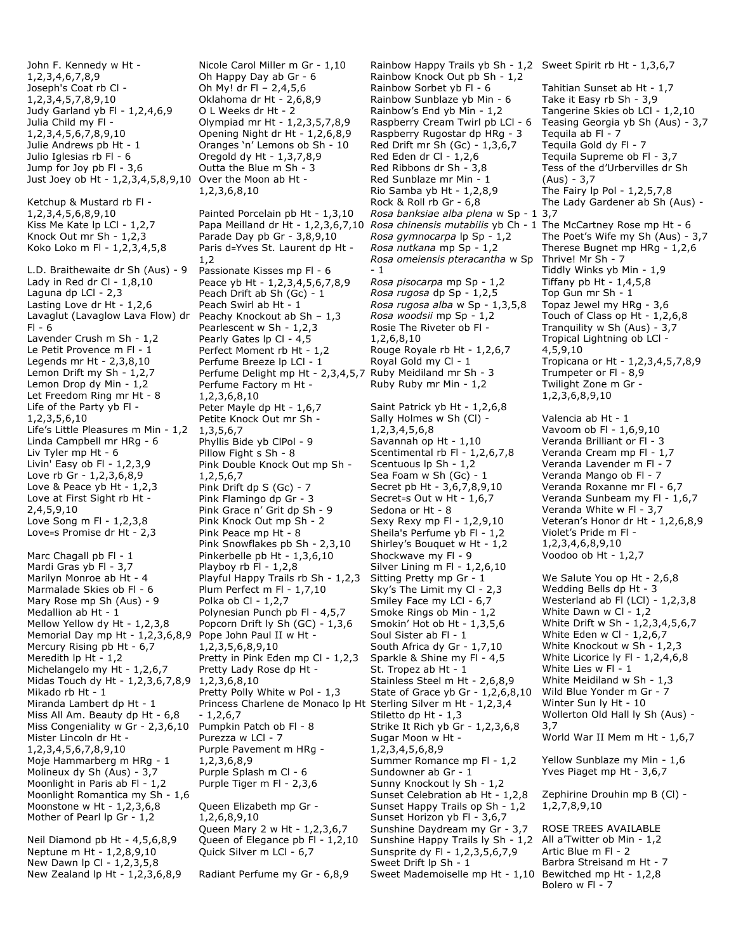John F. Kennedy w Ht - 1,2,3,4,6,7,8,9 Joseph's Coat rb Cl - 1,2,3,4,5,7,8,9,10 Judy Garland yb Fl - 1,2,4,6,9 Julia Child my Fl - 1,2,3,4,5,6,7,8,9,10 Julie Andrews pb Ht - 1 Julio Iglesias rb Fl - 6 Jump for Joy pb Fl - 3,6 Just Joey ob Ht - 1,2,3,4,5,8,9,10 Over the Moon ab Ht - Ketchup & Mustard rb Fl - 1,2,3,4,5,6,8,9,10 Kiss Me Kate lp LCl - 1,2,7 Knock Out mr Sh - 1,2,3 Koko Loko m Fl - 1,2,3,4,5,8 L.D. Braithewaite dr Sh (Aus) - 9 Lady in Red dr Cl -  $1,8,10$ Laguna dp LCl - 2,3 Lasting Love dr Ht - 1,2,6 Lavaglut (Lavaglow Lava Flow) dr  $Fl - 6$ Lavender Crush m Sh - 1,2 Le Petit Provence m Fl - 1 Legends mr Ht - 2,3,8,10 Lemon Drift my Sh - 1,2,7 Lemon Drop dy Min - 1,2 Let Freedom Ring mr Ht - 8 Life of the Party yb Fl - 1,2,3,5,6,10 Life's Little Pleasures m Min - 1,2 Linda Campbell mr HRg - 6 Liv Tyler mp Ht - 6 Livin' Easy ob Fl - 1,2,3,9 Love rb Gr - 1,2,3,6,8,9 Love & Peace yb Ht - 1,2,3 Love at First Sight rb Ht - 2,4,5,9,10 Love Song m Fl - 1,2,3,8 Love=s Promise dr Ht - 2,3 Marc Chagall pb Fl - 1 Mardi Gras yb Fl - 3,7 Marilyn Monroe ab Ht - 4 Marmalade Skies ob Fl - 6 Mary Rose mp Sh (Aus) - 9 Medallion ab Ht - 1 Mellow Yellow dy Ht - 1,2,3,8 Memorial Day mp Ht - 1,2,3,6,8,9 Pope John Paul II w Ht - Mercury Rising pb Ht - 6,7 Meredith lp Ht - 1,2 Michelangelo my Ht - 1,2,6,7 Midas Touch dy Ht - 1,2,3,6,7,8,9 1,2,3,6,8,10 Mikado rb Ht - 1 Miranda Lambert dp Ht - 1 Miss All Am. Beauty dp Ht - 6,8 Miss Congeniality w Gr - 2,3,6,10 Pumpkin Patch ob Fl - 8 Mister Lincoln dr Ht - 1,2,3,4,5,6,7,8,9,10 Moje Hammarberg m HRg - 1 Molineux dy Sh (Aus) - 3,7 Moonlight in Paris ab Fl - 1,2 Moonlight Romantica my Sh - 1,6 Moonstone w Ht - 1,2,3,6,8 Mother of Pearl lp Gr - 1,2 Neil Diamond pb Ht - 4,5,6,8,9

Neptune m Ht - 1,2,8,9,10 New Dawn lp Cl - 1,2,3,5,8 New Zealand lp Ht - 1,2,3,6,8,9 Nicole Carol Miller m Gr - 1,10 Oh Happy Day ab Gr - 6 Oh My! dr Fl – 2,4,5,6 Oklahoma dr Ht - 2,6,8,9 O L Weeks dr Ht - 2 Olympiad mr Ht - 1,2,3,5,7,8,9 Opening Night dr Ht - 1,2,6,8,9 Oranges 'n' Lemons ob Sh - 10 Oregold dy Ht - 1,3,7,8,9 Outta the Blue m Sh - 3 1,2,3,6,8,10 Painted Porcelain pb Ht - 1,3,10 Papa Meilland dr Ht - 1,2,3,6,7,10 Parade Day pb Gr - 3,8,9,10 Paris d=Yves St. Laurent dp Ht -

1,2 Passionate Kisses mp Fl - 6 Peace yb Ht - 1,2,3,4,5,6,7,8,9 Peach Drift ab Sh (Gc) - 1 Peach Swirl ab Ht - 1 Peachy Knockout ab Sh – 1,3 Pearlescent w Sh - 1,2,3 Pearly Gates Ip CI - 4,5 Perfect Moment rb Ht - 1,2 Perfume Breeze lp LCl - 1 Perfume Delight mp Ht - 2,3,4,5,7 Ruby Meidiland mr Sh - 3 Perfume Factory m Ht - 1,2,3,6,8,10 Peter Mayle dp Ht - 1,6,7 Petite Knock Out mr Sh - 1,3,5,6,7 Phyllis Bide yb ClPol - 9 Pillow Fight s Sh - 8 Pink Double Knock Out mp Sh - 1,2,5,6,7 Pink Drift dp S (Gc) - 7 Pink Flamingo dp Gr - 3 Pink Grace n' Grit dp Sh - 9 Pink Knock Out mp Sh - 2 Pink Peace mp Ht - 8 Pink Snowflakes pb Sh - 2,3,10 Pinkerbelle pb Ht - 1,3,6,10 Playboy rb  $F1 - 1,2,8$ Playful Happy Trails rb Sh - 1,2,3 Plum Perfect m Fl - 1,7,10 Polka ob Cl -  $1,2,7$ Polynesian Punch pb Fl - 4,5,7 Popcorn Drift ly Sh (GC) - 1,3,6 1,2,3,5,6,8,9,10 Pretty in Pink Eden mp Cl - 1,2,3 Pretty Lady Rose dp Ht - Pretty Polly White w Pol - 1,3 Princess Charlene de Monaco lp Ht Sterling Silver m Ht - 1,2,3,4 - 1,2,6,7 Purezza w LCl - 7 Purple Pavement m HRg - 1,2,3,6,8,9 Purple Splash m Cl - 6 Purple Tiger m Fl - 2,3,6 Queen Elizabeth mp Gr - 1,2,6,8,9,10 Queen Mary 2 w Ht - 1,2,3,6,7 Queen of Elegance pb Fl - 1,2,10 Quick Silver m LCl - 6,7

Radiant Perfume my Gr - 6,8,9

Rainbow Happy Trails yb Sh - 1,2 Sweet Spirit rb Ht - 1,3,6,7 Rainbow Knock Out pb Sh - 1,2 Rainbow Sorbet yb Fl - 6 Rainbow Sunblaze yb Min - 6 Rainbow's End yb Min - 1,2 Raspberry Cream Twirl pb LCl - 6 Raspberry Rugostar dp HRg - 3 Red Drift mr Sh (Gc) - 1,3,6,7 Red Eden dr Cl - 1,2,6 Red Ribbons dr Sh - 3,8 Red Sunblaze mr Min - 1 Rio Samba yb Ht - 1,2,8,9 Rock & Roll rb Gr - 6,8 *Rosa banksiae alba plena* w Sp - 1 3,7 *Rosa chinensis mutabilis* yb Ch - 1 The McCartney Rose mp Ht - 6 *Rosa gymnocarpa* lp Sp - 1,2 *Rosa nutkana* mp Sp - 1,2 *Rosa omeiensis pteracantha* w Sp - 1 *Rosa pisocarpa* mp Sp - 1,2 *Rosa rugosa* dp Sp - 1,2,5 *Rosa rugosa alba* w Sp - 1,3,5,8 *Rosa woodsii* mp Sp - 1,2 Rosie The Riveter ob Fl - 1,2,6,8,10 Rouge Royale rb Ht - 1,2,6,7 Royal Gold my Cl - 1 Ruby Ruby mr Min - 1,2 Saint Patrick yb Ht - 1,2,6,8 Sally Holmes w Sh (Cl) - 1,2,3,4,5,6,8 Savannah op Ht - 1,10 Scentimental rb Fl - 1,2,6,7,8 Scentuous lp Sh - 1,2 Sea Foam w Sh (Gc) - 1 Secret pb Ht - 3,6,7,8,9,10 Secret=s Out w Ht - 1,6,7 Sedona or Ht - 8 Sexy Rexy mp Fl - 1,2,9,10 Sheila's Perfume yb Fl - 1,2 Shirley's Bouquet w Ht - 1,2 Shockwave my Fl - 9 Silver Lining m Fl - 1,2,6,10 Sitting Pretty mp Gr - 1 Sky's The Limit my Cl - 2,3 Smiley Face my LCl - 6,7 Smoke Rings ob Min - 1,2 Smokin' Hot ob Ht - 1,3,5,6 Soul Sister ab Fl - 1 South Africa dy Gr - 1,7,10 Sparkle & Shine my Fl - 4,5 St. Tropez ab Ht - 1 Stainless Steel m Ht - 2,6,8,9 State of Grace yb Gr - 1,2,6,8,10 Stiletto dp Ht - 1,3 Strike It Rich yb Gr - 1,2,3,6,8 Sugar Moon w Ht - 1,2,3,4,5,6,8,9 Summer Romance mp Fl - 1,2 Sundowner ab Gr - 1 Sunny Knockout ly Sh - 1,2 Sunset Celebration ab Ht - 1,2,8 Sunset Happy Trails op Sh - 1,2 Sunset Horizon yb Fl - 3,6,7 Sunshine Daydream my Gr - 3,7 Sunshine Happy Trails ly Sh - 1,2 All a'Twitter ob Min - 1,2 Sunsprite dy Fl - 1,2,3,5,6,7,9 Sweet Drift lp Sh - 1 Sweet Mademoiselle mp Ht - 1,10

Tahitian Sunset ab Ht - 1,7 Take it Easy rb Sh - 3,9 Tangerine Skies ob LCl - 1,2,10 Teasing Georgia yb Sh (Aus) - 3,7 Tequila ab Fl - 7 Tequila Gold dy Fl - 7 Tequila Supreme ob Fl - 3,7 Tess of the d'Urbervilles dr Sh (Aus) - 3,7 The Fairy Ip Pol -  $1,2,5,7,8$ The Lady Gardener ab Sh (Aus) - The Poet's Wife my Sh (Aus) - 3,7 Therese Bugnet mp HRg - 1,2,6 Thrive! Mr Sh - 7 Tiddly Winks yb Min - 1,9 Tiffany pb Ht -  $1,4,5,8$ Top Gun mr Sh - 1 Topaz Jewel my HRg - 3,6 Touch of Class op Ht - 1,2,6,8 Tranquility w Sh (Aus) - 3,7 Tropical Lightning ob LCl - 4,5,9,10 Tropicana or Ht - 1,2,3,4,5,7,8,9 Trumpeter or Fl - 8,9 Twilight Zone m Gr - 1,2,3,6,8,9,10 Valencia ab Ht - 1 Vavoom ob Fl - 1,6,9,10 Veranda Brilliant or Fl - 3 Veranda Cream mp Fl - 1,7 Veranda Lavender m Fl - 7 Veranda Mango ob Fl - 7 Veranda Roxanne mr Fl - 6,7 Veranda Sunbeam my Fl - 1,6,7 Veranda White w Fl - 3,7 Veteran's Honor dr Ht - 1,2,6,8,9 Violet's Pride m Fl - 1,2,3,4,6,8,9,10 Voodoo ob Ht - 1,2,7 We Salute You op Ht - 2,6,8 Wedding Bells dp Ht - 3 Westerland ab Fl (LCl) - 1,2,3,8 White Dawn w Cl - 1,2 White Drift w Sh - 1,2,3,4,5,6,7 White Eden w Cl - 1,2,6,7 White Knockout w Sh - 1,2,3 White Licorice ly Fl - 1,2,4,6,8 White Lies w Fl - 1 White Meidiland w Sh - 1,3 Wild Blue Yonder m Gr - 7 Winter Sun ly Ht - 10 Wollerton Old Hall ly Sh (Aus) - 3,7 World War II Mem m Ht - 1,6,7 Yellow Sunblaze my Min - 1,6 Yves Piaget mp Ht - 3,6,7 Zephirine Drouhin mp B (Cl) - 1,2,7,8,9,10

ROSE TREES AVAILABLE Artic Blue m Fl - 2 Barbra Streisand m Ht - 7 Bewitched mp Ht - 1,2,8 Bolero w Fl - 7